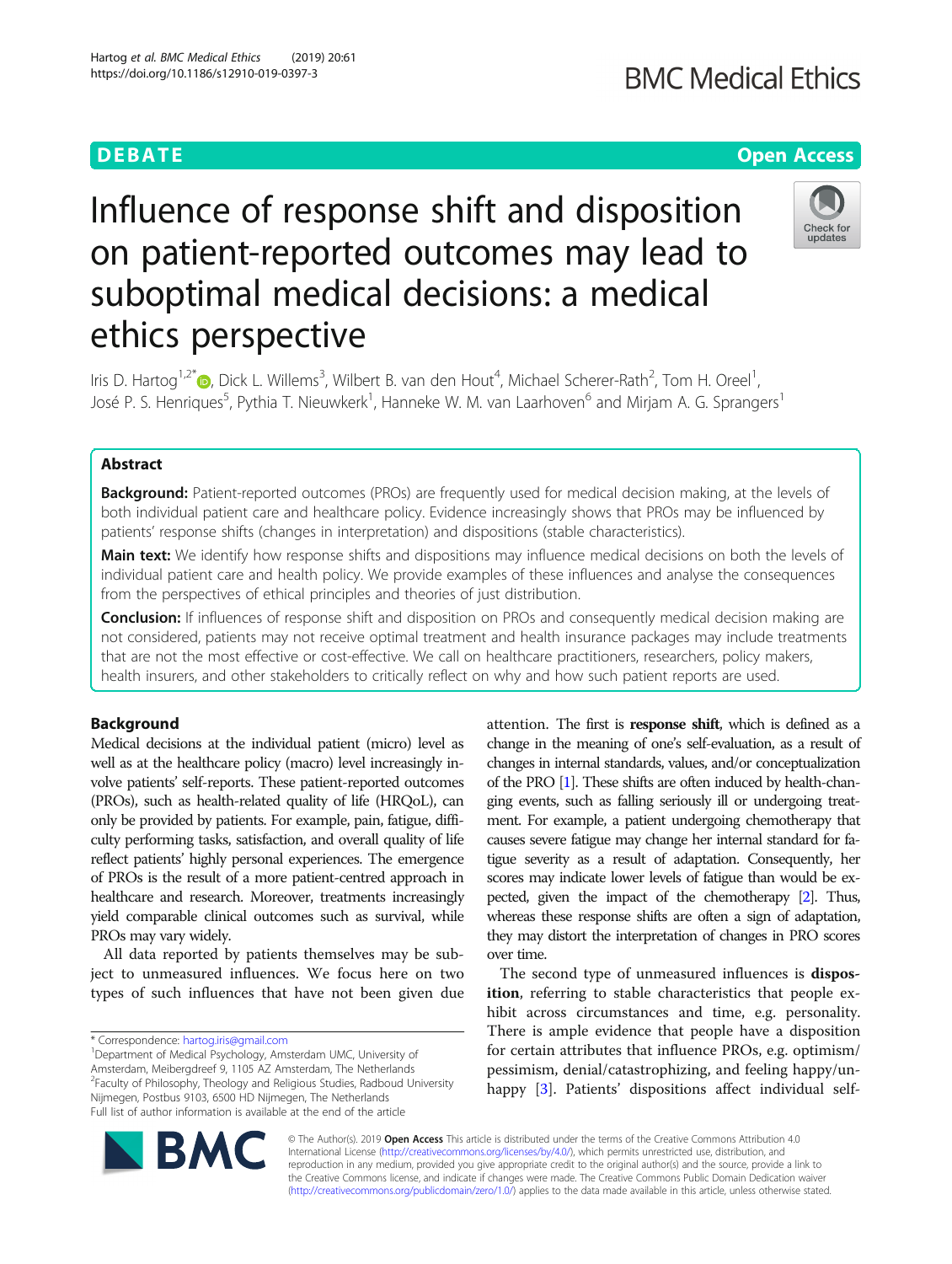# **BMC Medical Ethics**

# **DEBATE CONSIDERED EXECUTE CONSIDERED ACCESS CONSIDERED ACCESS**

# Influence of response shift and disposition on patient-reported outcomes may lead to suboptimal medical decisions: a medical ethics perspective



Iris D. Hartog<sup>1,2[\\*](http://orcid.org/0000-0001-7382-9627)</sup>®, Dick L. Willems<sup>3</sup>, Wilbert B. van den Hout<sup>4</sup>, Michael Scherer-Rath<sup>2</sup>, Tom H. Oreel<sup>1</sup> , José P. S. Henriques<sup>5</sup>, Pythia T. Nieuwkerk<sup>1</sup>, Hanneke W. M. van Laarhoven<sup>6</sup> and Mirjam A. G. Sprangers<sup>1</sup>

# Abstract

**Background:** Patient-reported outcomes (PROs) are frequently used for medical decision making, at the levels of both individual patient care and healthcare policy. Evidence increasingly shows that PROs may be influenced by patients' response shifts (changes in interpretation) and dispositions (stable characteristics).

Main text: We identify how response shifts and dispositions may influence medical decisions on both the levels of individual patient care and health policy. We provide examples of these influences and analyse the consequences from the perspectives of ethical principles and theories of just distribution.

Conclusion: If influences of response shift and disposition on PROs and consequently medical decision making are not considered, patients may not receive optimal treatment and health insurance packages may include treatments that are not the most effective or cost-effective. We call on healthcare practitioners, researchers, policy makers, health insurers, and other stakeholders to critically reflect on why and how such patient reports are used.

# Background

Medical decisions at the individual patient (micro) level as well as at the healthcare policy (macro) level increasingly involve patients' self-reports. These patient-reported outcomes (PROs), such as health-related quality of life (HRQoL), can only be provided by patients. For example, pain, fatigue, difficulty performing tasks, satisfaction, and overall quality of life reflect patients' highly personal experiences. The emergence of PROs is the result of a more patient-centred approach in healthcare and research. Moreover, treatments increasingly yield comparable clinical outcomes such as survival, while PROs may vary widely.

All data reported by patients themselves may be subject to unmeasured influences. We focus here on two types of such influences that have not been given due

\* Correspondence: [hartog.iris@gmail.com](mailto:hartog.iris@gmail.com) <sup>1</sup>

Department of Medical Psychology, Amsterdam UMC, University of Amsterdam, Meibergdreef 9, 1105 AZ Amsterdam, The Netherlands <sup>2</sup> Faculty of Philosophy, Theology and Religious Studies, Radboud University Nijmegen, Postbus 9103, 6500 HD Nijmegen, The Netherlands Full list of author information is available at the end of the article

attention. The first is response shift, which is defined as a change in the meaning of one's self-evaluation, as a result of changes in internal standards, values, and/or conceptualization of the PRO [[1](#page-6-0)]. These shifts are often induced by health-changing events, such as falling seriously ill or undergoing treatment. For example, a patient undergoing chemotherapy that causes severe fatigue may change her internal standard for fatigue severity as a result of adaptation. Consequently, her scores may indicate lower levels of fatigue than would be expected, given the impact of the chemotherapy [\[2\]](#page-6-0). Thus, whereas these response shifts are often a sign of adaptation, they may distort the interpretation of changes in PRO scores over time.

The second type of unmeasured influences is disposition, referring to stable characteristics that people exhibit across circumstances and time, e.g. personality. There is ample evidence that people have a disposition for certain attributes that influence PROs, e.g. optimism/ pessimism, denial/catastrophizing, and feeling happy/un-happy [\[3](#page-6-0)]. Patients' dispositions affect individual self-



© The Author(s). 2019 Open Access This article is distributed under the terms of the Creative Commons Attribution 4.0 International License [\(http://creativecommons.org/licenses/by/4.0/](http://creativecommons.org/licenses/by/4.0/)), which permits unrestricted use, distribution, and reproduction in any medium, provided you give appropriate credit to the original author(s) and the source, provide a link to the Creative Commons license, and indicate if changes were made. The Creative Commons Public Domain Dedication waiver [\(http://creativecommons.org/publicdomain/zero/1.0/](http://creativecommons.org/publicdomain/zero/1.0/)) applies to the data made available in this article, unless otherwise stated.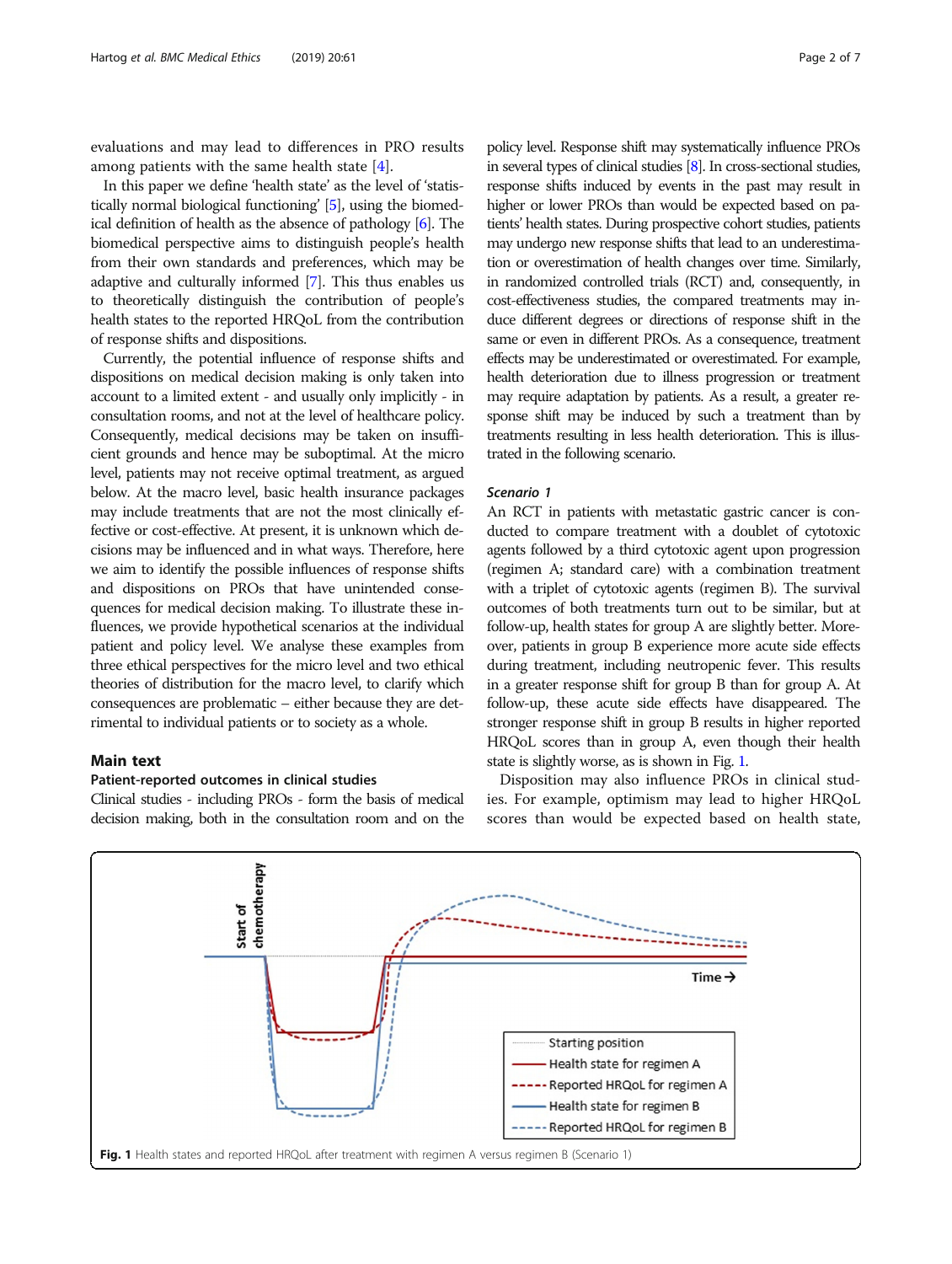evaluations and may lead to differences in PRO results among patients with the same health state [[4\]](#page-6-0).

In this paper we define 'health state' as the level of 'statistically normal biological functioning' [\[5\]](#page-6-0), using the biomedical definition of health as the absence of pathology [\[6](#page-6-0)]. The biomedical perspective aims to distinguish people's health from their own standards and preferences, which may be adaptive and culturally informed [\[7\]](#page-6-0). This thus enables us to theoretically distinguish the contribution of people's health states to the reported HRQoL from the contribution of response shifts and dispositions.

Currently, the potential influence of response shifts and dispositions on medical decision making is only taken into account to a limited extent - and usually only implicitly - in consultation rooms, and not at the level of healthcare policy. Consequently, medical decisions may be taken on insufficient grounds and hence may be suboptimal. At the micro level, patients may not receive optimal treatment, as argued below. At the macro level, basic health insurance packages may include treatments that are not the most clinically effective or cost-effective. At present, it is unknown which decisions may be influenced and in what ways. Therefore, here we aim to identify the possible influences of response shifts and dispositions on PROs that have unintended consequences for medical decision making. To illustrate these influences, we provide hypothetical scenarios at the individual patient and policy level. We analyse these examples from three ethical perspectives for the micro level and two ethical theories of distribution for the macro level, to clarify which consequences are problematic – either because they are detrimental to individual patients or to society as a whole.

# Main text

# Patient-reported outcomes in clinical studies

Clinical studies - including PROs - form the basis of medical decision making, both in the consultation room and on the

policy level. Response shift may systematically influence PROs in several types of clinical studies [\[8\]](#page-6-0). In cross-sectional studies, response shifts induced by events in the past may result in higher or lower PROs than would be expected based on patients' health states. During prospective cohort studies, patients may undergo new response shifts that lead to an underestimation or overestimation of health changes over time. Similarly, in randomized controlled trials (RCT) and, consequently, in cost-effectiveness studies, the compared treatments may induce different degrees or directions of response shift in the same or even in different PROs. As a consequence, treatment effects may be underestimated or overestimated. For example, health deterioration due to illness progression or treatment may require adaptation by patients. As a result, a greater response shift may be induced by such a treatment than by treatments resulting in less health deterioration. This is illus-

## Scenario 1

trated in the following scenario.

An RCT in patients with metastatic gastric cancer is conducted to compare treatment with a doublet of cytotoxic agents followed by a third cytotoxic agent upon progression (regimen A; standard care) with a combination treatment with a triplet of cytotoxic agents (regimen B). The survival outcomes of both treatments turn out to be similar, but at follow-up, health states for group A are slightly better. Moreover, patients in group B experience more acute side effects during treatment, including neutropenic fever. This results in a greater response shift for group B than for group A. At follow-up, these acute side effects have disappeared. The stronger response shift in group B results in higher reported HRQoL scores than in group A, even though their health state is slightly worse, as is shown in Fig. 1.

Disposition may also influence PROs in clinical studies. For example, optimism may lead to higher HRQoL scores than would be expected based on health state,

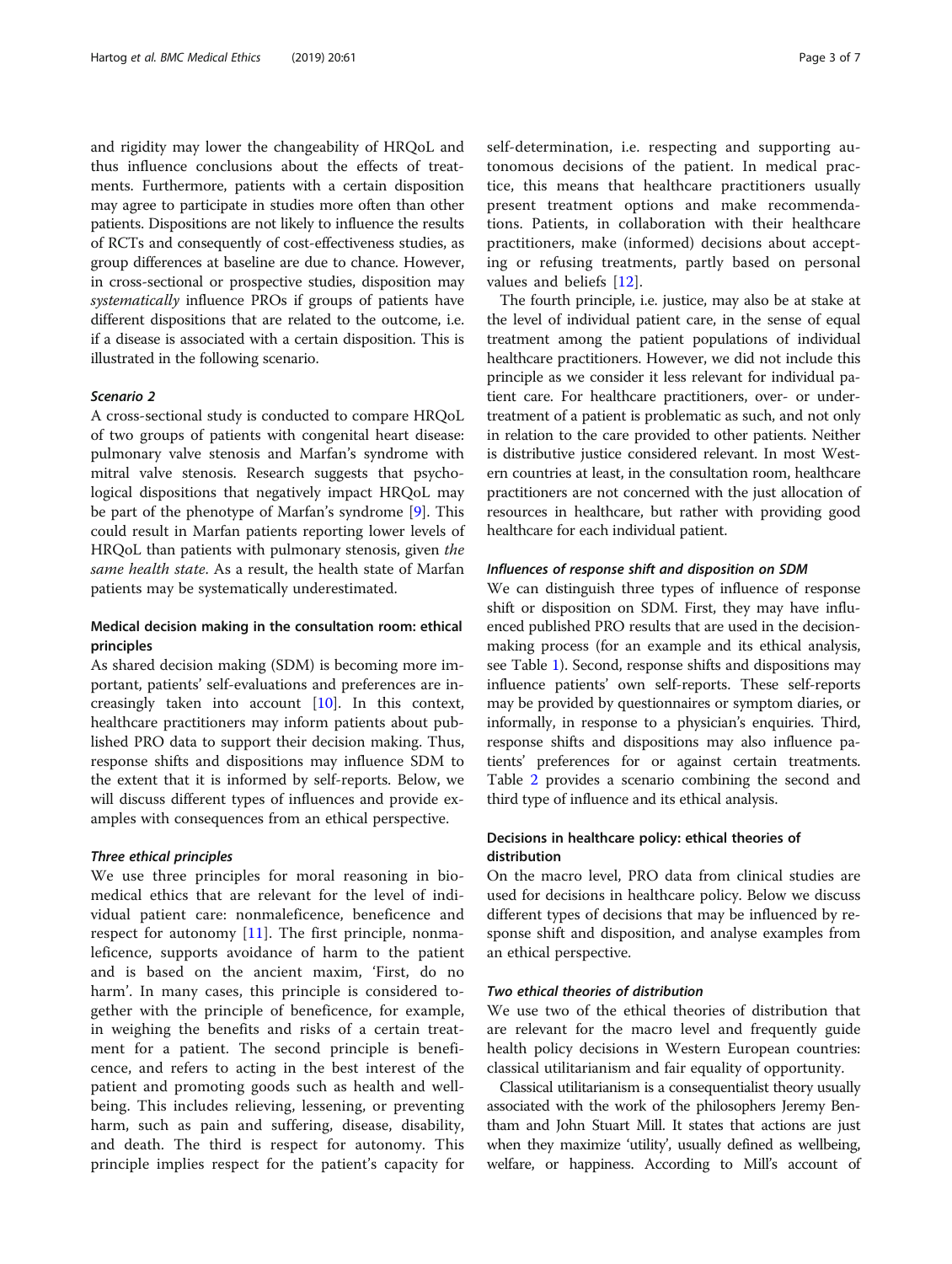and rigidity may lower the changeability of HRQoL and thus influence conclusions about the effects of treatments. Furthermore, patients with a certain disposition may agree to participate in studies more often than other patients. Dispositions are not likely to influence the results of RCTs and consequently of cost-effectiveness studies, as group differences at baseline are due to chance. However, in cross-sectional or prospective studies, disposition may systematically influence PROs if groups of patients have different dispositions that are related to the outcome, i.e. if a disease is associated with a certain disposition. This is illustrated in the following scenario.

# Scenario 2

A cross-sectional study is conducted to compare HRQoL of two groups of patients with congenital heart disease: pulmonary valve stenosis and Marfan's syndrome with mitral valve stenosis. Research suggests that psychological dispositions that negatively impact HRQoL may be part of the phenotype of Marfan's syndrome [[9\]](#page-6-0). This could result in Marfan patients reporting lower levels of HRQoL than patients with pulmonary stenosis, given the same health state. As a result, the health state of Marfan patients may be systematically underestimated.

# Medical decision making in the consultation room: ethical principles

As shared decision making (SDM) is becoming more important, patients' self-evaluations and preferences are increasingly taken into account  $[10]$  $[10]$  $[10]$ . In this context, healthcare practitioners may inform patients about published PRO data to support their decision making. Thus, response shifts and dispositions may influence SDM to the extent that it is informed by self-reports. Below, we will discuss different types of influences and provide examples with consequences from an ethical perspective.

# Three ethical principles

We use three principles for moral reasoning in biomedical ethics that are relevant for the level of individual patient care: nonmaleficence, beneficence and respect for autonomy [[11\]](#page-6-0). The first principle, nonmaleficence, supports avoidance of harm to the patient and is based on the ancient maxim, 'First, do no harm'. In many cases, this principle is considered together with the principle of beneficence, for example, in weighing the benefits and risks of a certain treatment for a patient. The second principle is beneficence, and refers to acting in the best interest of the patient and promoting goods such as health and wellbeing. This includes relieving, lessening, or preventing harm, such as pain and suffering, disease, disability, and death. The third is respect for autonomy. This principle implies respect for the patient's capacity for self-determination, i.e. respecting and supporting autonomous decisions of the patient. In medical practice, this means that healthcare practitioners usually present treatment options and make recommendations. Patients, in collaboration with their healthcare practitioners, make (informed) decisions about accepting or refusing treatments, partly based on personal values and beliefs [[12\]](#page-6-0).

The fourth principle, i.e. justice, may also be at stake at the level of individual patient care, in the sense of equal treatment among the patient populations of individual healthcare practitioners. However, we did not include this principle as we consider it less relevant for individual patient care. For healthcare practitioners, over- or undertreatment of a patient is problematic as such, and not only in relation to the care provided to other patients. Neither is distributive justice considered relevant. In most Western countries at least, in the consultation room, healthcare practitioners are not concerned with the just allocation of resources in healthcare, but rather with providing good healthcare for each individual patient.

# Influences of response shift and disposition on SDM

We can distinguish three types of influence of response shift or disposition on SDM. First, they may have influenced published PRO results that are used in the decisionmaking process (for an example and its ethical analysis, see Table [1](#page-3-0)). Second, response shifts and dispositions may influence patients' own self-reports. These self-reports may be provided by questionnaires or symptom diaries, or informally, in response to a physician's enquiries. Third, response shifts and dispositions may also influence patients' preferences for or against certain treatments. Table [2](#page-3-0) provides a scenario combining the second and third type of influence and its ethical analysis.

# Decisions in healthcare policy: ethical theories of distribution

On the macro level, PRO data from clinical studies are used for decisions in healthcare policy. Below we discuss different types of decisions that may be influenced by response shift and disposition, and analyse examples from an ethical perspective.

# Two ethical theories of distribution

We use two of the ethical theories of distribution that are relevant for the macro level and frequently guide health policy decisions in Western European countries: classical utilitarianism and fair equality of opportunity.

Classical utilitarianism is a consequentialist theory usually associated with the work of the philosophers Jeremy Bentham and John Stuart Mill. It states that actions are just when they maximize 'utility', usually defined as wellbeing, welfare, or happiness. According to Mill's account of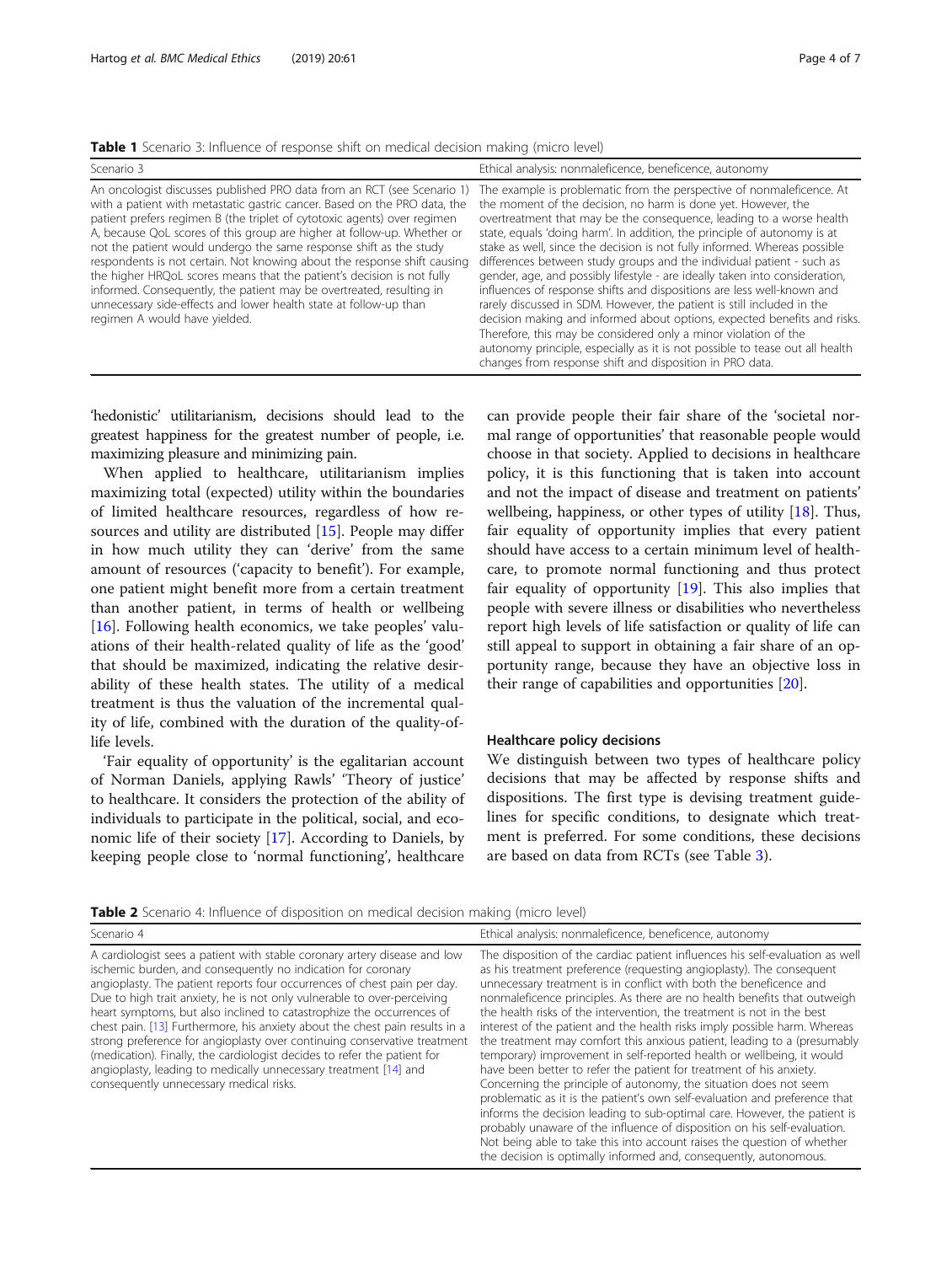<span id="page-3-0"></span>Table 1 Scenario 3: Influence of response shift on medical decision making (micro level)

| Scenario 3                                                                                                                                                                                                                                                                                                                                                                                                                                                                                                                                                                                                                                                                                                            | Ethical analysis: nonmaleficence, beneficence, autonomy                                                                                                                                                                                                                                                                                                                                                                                                                                                                                                                                                                                                                                                                                                                                                                                                                                                                                                                        |
|-----------------------------------------------------------------------------------------------------------------------------------------------------------------------------------------------------------------------------------------------------------------------------------------------------------------------------------------------------------------------------------------------------------------------------------------------------------------------------------------------------------------------------------------------------------------------------------------------------------------------------------------------------------------------------------------------------------------------|--------------------------------------------------------------------------------------------------------------------------------------------------------------------------------------------------------------------------------------------------------------------------------------------------------------------------------------------------------------------------------------------------------------------------------------------------------------------------------------------------------------------------------------------------------------------------------------------------------------------------------------------------------------------------------------------------------------------------------------------------------------------------------------------------------------------------------------------------------------------------------------------------------------------------------------------------------------------------------|
| An oncologist discusses published PRO data from an RCT (see Scenario 1)<br>with a patient with metastatic gastric cancer. Based on the PRO data, the<br>patient prefers regimen B (the triplet of cytotoxic agents) over regimen<br>A, because QoL scores of this group are higher at follow-up. Whether or<br>not the patient would undergo the same response shift as the study<br>respondents is not certain. Not knowing about the response shift causing<br>the higher HRQoL scores means that the patient's decision is not fully<br>informed. Consequently, the patient may be overtreated, resulting in<br>unnecessary side-effects and lower health state at follow-up than<br>regimen A would have yielded. | The example is problematic from the perspective of nonmaleficence. At<br>the moment of the decision, no harm is done yet. However, the<br>overtreatment that may be the consequence, leading to a worse health<br>state, equals 'doing harm'. In addition, the principle of autonomy is at<br>stake as well, since the decision is not fully informed. Whereas possible<br>differences between study groups and the individual patient - such as<br>gender, age, and possibly lifestyle - are ideally taken into consideration,<br>influences of response shifts and dispositions are less well-known and<br>rarely discussed in SDM. However, the patient is still included in the<br>decision making and informed about options, expected benefits and risks.<br>Therefore, this may be considered only a minor violation of the<br>autonomy principle, especially as it is not possible to tease out all health<br>changes from response shift and disposition in PRO data. |

'hedonistic' utilitarianism, decisions should lead to the greatest happiness for the greatest number of people, i.e. maximizing pleasure and minimizing pain.

When applied to healthcare, utilitarianism implies maximizing total (expected) utility within the boundaries of limited healthcare resources, regardless of how resources and utility are distributed [[15\]](#page-6-0). People may differ in how much utility they can 'derive' from the same amount of resources ('capacity to benefit'). For example, one patient might benefit more from a certain treatment than another patient, in terms of health or wellbeing [[16\]](#page-6-0). Following health economics, we take peoples' valuations of their health-related quality of life as the 'good' that should be maximized, indicating the relative desirability of these health states. The utility of a medical treatment is thus the valuation of the incremental quality of life, combined with the duration of the quality-oflife levels.

'Fair equality of opportunity' is the egalitarian account of Norman Daniels, applying Rawls' 'Theory of justice' to healthcare. It considers the protection of the ability of individuals to participate in the political, social, and economic life of their society [\[17](#page-6-0)]. According to Daniels, by keeping people close to 'normal functioning', healthcare

can provide people their fair share of the 'societal normal range of opportunities' that reasonable people would choose in that society. Applied to decisions in healthcare policy, it is this functioning that is taken into account and not the impact of disease and treatment on patients' wellbeing, happiness, or other types of utility [\[18\]](#page-6-0). Thus, fair equality of opportunity implies that every patient should have access to a certain minimum level of healthcare, to promote normal functioning and thus protect fair equality of opportunity [[19\]](#page-6-0). This also implies that people with severe illness or disabilities who nevertheless report high levels of life satisfaction or quality of life can still appeal to support in obtaining a fair share of an opportunity range, because they have an objective loss in their range of capabilities and opportunities [\[20\]](#page-6-0).

# Healthcare policy decisions

We distinguish between two types of healthcare policy decisions that may be affected by response shifts and dispositions. The first type is devising treatment guidelines for specific conditions, to designate which treatment is preferred. For some conditions, these decisions are based on data from RCTs (see Table [3\)](#page-4-0).

Table 2 Scenario 4: Influence of disposition on medical decision making (micro level)

| Scenario 4                                                                                                                                                                                                                                                                                                                                                                                                                                                                                                                                                                                                                                                                                                                      | Ethical analysis: nonmaleficence, beneficence, autonomy                                                                                                                                                                                                                                                                                                                                                                                                                                                                                                                                                                                                                                                                                                                                                                                                                                                                                                                                                                                                                                                                                                |
|---------------------------------------------------------------------------------------------------------------------------------------------------------------------------------------------------------------------------------------------------------------------------------------------------------------------------------------------------------------------------------------------------------------------------------------------------------------------------------------------------------------------------------------------------------------------------------------------------------------------------------------------------------------------------------------------------------------------------------|--------------------------------------------------------------------------------------------------------------------------------------------------------------------------------------------------------------------------------------------------------------------------------------------------------------------------------------------------------------------------------------------------------------------------------------------------------------------------------------------------------------------------------------------------------------------------------------------------------------------------------------------------------------------------------------------------------------------------------------------------------------------------------------------------------------------------------------------------------------------------------------------------------------------------------------------------------------------------------------------------------------------------------------------------------------------------------------------------------------------------------------------------------|
| A cardiologist sees a patient with stable coronary artery disease and low<br>ischemic burden, and consequently no indication for coronary<br>angioplasty. The patient reports four occurrences of chest pain per day.<br>Due to high trait anxiety, he is not only vulnerable to over-perceiving<br>heart symptoms, but also inclined to catastrophize the occurrences of<br>chest pain. [13] Furthermore, his anxiety about the chest pain results in a<br>strong preference for angioplasty over continuing conservative treatment<br>(medication). Finally, the cardiologist decides to refer the patient for<br>angioplasty, leading to medically unnecessary treatment [14] and<br>consequently unnecessary medical risks. | The disposition of the cardiac patient influences his self-evaluation as well<br>as his treatment preference (requesting angioplasty). The consequent<br>unnecessary treatment is in conflict with both the beneficence and<br>nonmaleficence principles. As there are no health benefits that outweigh<br>the health risks of the intervention, the treatment is not in the best<br>interest of the patient and the health risks imply possible harm. Whereas<br>the treatment may comfort this anxious patient, leading to a (presumably<br>temporary) improvement in self-reported health or wellbeing, it would<br>have been better to refer the patient for treatment of his anxiety.<br>Concerning the principle of autonomy, the situation does not seem<br>problematic as it is the patient's own self-evaluation and preference that<br>informs the decision leading to sub-optimal care. However, the patient is<br>probably unaware of the influence of disposition on his self-evaluation.<br>Not being able to take this into account raises the question of whether<br>the decision is optimally informed and, consequently, autonomous. |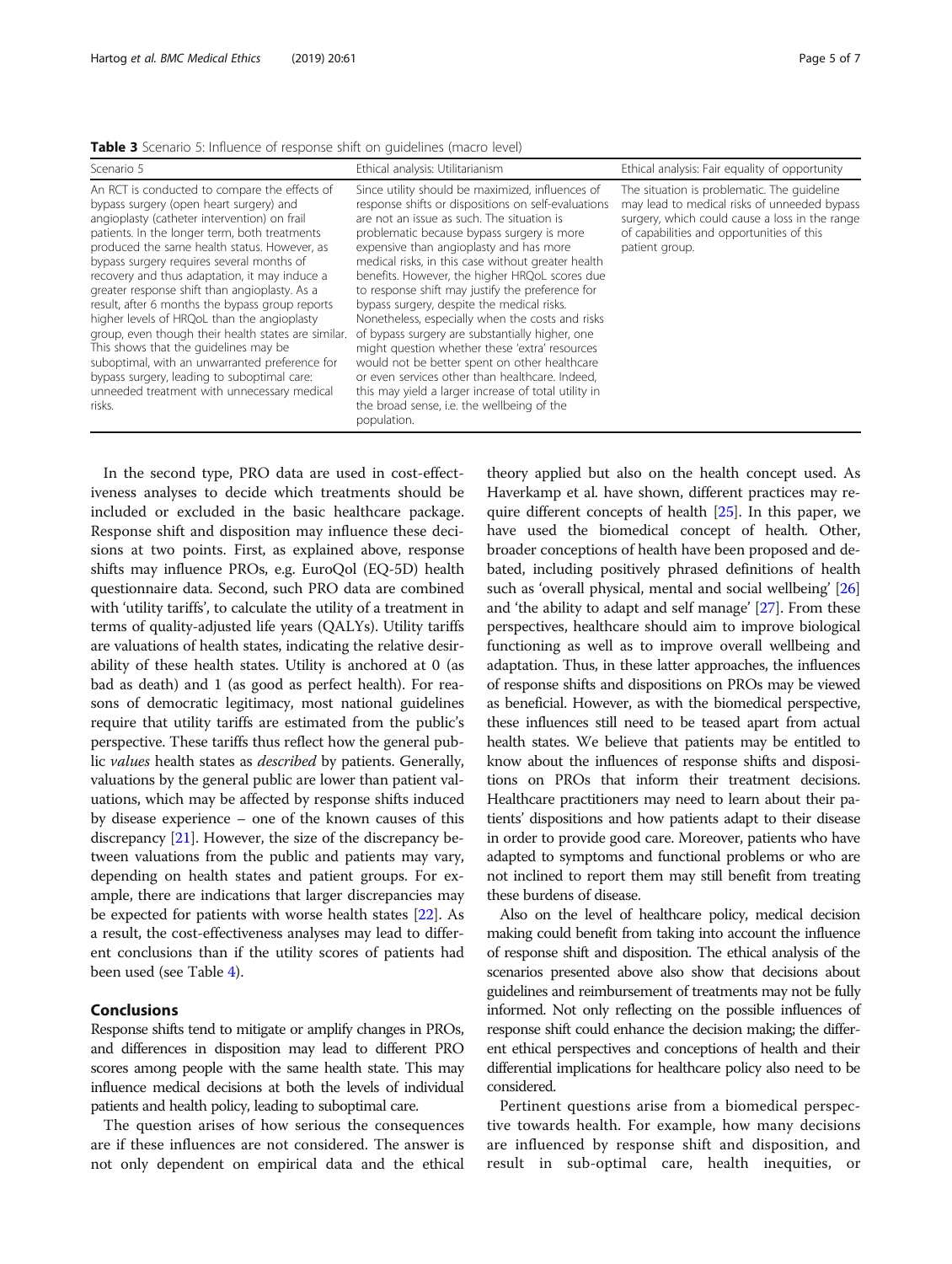<span id="page-4-0"></span>

| Scenario 5                                                                                                                                                                                                                                                                                                                                                                                                                                                                                                                                                                                                                                                                                                                                           | Ethical analysis: Utilitarianism                                                                                                                                                                                                                                                                                                                                                                                                                                                                                                                                                                                                                                                                                                                                                                                                           | Ethical analysis: Fair equality of opportunity                                                                                                                                                               |
|------------------------------------------------------------------------------------------------------------------------------------------------------------------------------------------------------------------------------------------------------------------------------------------------------------------------------------------------------------------------------------------------------------------------------------------------------------------------------------------------------------------------------------------------------------------------------------------------------------------------------------------------------------------------------------------------------------------------------------------------------|--------------------------------------------------------------------------------------------------------------------------------------------------------------------------------------------------------------------------------------------------------------------------------------------------------------------------------------------------------------------------------------------------------------------------------------------------------------------------------------------------------------------------------------------------------------------------------------------------------------------------------------------------------------------------------------------------------------------------------------------------------------------------------------------------------------------------------------------|--------------------------------------------------------------------------------------------------------------------------------------------------------------------------------------------------------------|
| An RCT is conducted to compare the effects of<br>bypass surgery (open heart surgery) and<br>angioplasty (catheter intervention) on frail<br>patients. In the longer term, both treatments<br>produced the same health status. However, as<br>bypass surgery requires several months of<br>recovery and thus adaptation, it may induce a<br>greater response shift than angioplasty. As a<br>result, after 6 months the bypass group reports<br>higher levels of HRQoL than the angioplasty<br>group, even though their health states are similar.<br>This shows that the guidelines may be<br>suboptimal, with an unwarranted preference for<br>bypass surgery, leading to suboptimal care:<br>unneeded treatment with unnecessary medical<br>risks. | Since utility should be maximized, influences of<br>response shifts or dispositions on self-evaluations<br>are not an issue as such. The situation is<br>problematic because bypass surgery is more<br>expensive than angioplasty and has more<br>medical risks, in this case without greater health<br>benefits. However, the higher HRQoL scores due<br>to response shift may justify the preference for<br>bypass surgery, despite the medical risks.<br>Nonetheless, especially when the costs and risks<br>of bypass surgery are substantially higher, one<br>might question whether these 'extra' resources<br>would not be better spent on other healthcare<br>or even services other than healthcare. Indeed.<br>this may yield a larger increase of total utility in<br>the broad sense, i.e. the wellbeing of the<br>population. | The situation is problematic. The quideline<br>may lead to medical risks of unneeded bypass<br>surgery, which could cause a loss in the range<br>of capabilities and opportunities of this<br>patient group. |

In the second type, PRO data are used in cost-effectiveness analyses to decide which treatments should be included or excluded in the basic healthcare package. Response shift and disposition may influence these decisions at two points. First, as explained above, response shifts may influence PROs, e.g. EuroQol (EQ-5D) health questionnaire data. Second, such PRO data are combined with 'utility tariffs', to calculate the utility of a treatment in terms of quality-adjusted life years (QALYs). Utility tariffs are valuations of health states, indicating the relative desirability of these health states. Utility is anchored at 0 (as bad as death) and 1 (as good as perfect health). For reasons of democratic legitimacy, most national guidelines require that utility tariffs are estimated from the public's perspective. These tariffs thus reflect how the general public values health states as described by patients. Generally, valuations by the general public are lower than patient valuations, which may be affected by response shifts induced by disease experience – one of the known causes of this discrepancy [[21](#page-6-0)]. However, the size of the discrepancy between valuations from the public and patients may vary, depending on health states and patient groups. For example, there are indications that larger discrepancies may be expected for patients with worse health states [[22](#page-6-0)]. As a result, the cost-effectiveness analyses may lead to different conclusions than if the utility scores of patients had been used (see Table [4](#page-5-0)).

# Conclusions

Response shifts tend to mitigate or amplify changes in PROs, and differences in disposition may lead to different PRO scores among people with the same health state. This may influence medical decisions at both the levels of individual patients and health policy, leading to suboptimal care.

The question arises of how serious the consequences are if these influences are not considered. The answer is not only dependent on empirical data and the ethical

theory applied but also on the health concept used. As Haverkamp et al. have shown, different practices may require different concepts of health [\[25](#page-6-0)]. In this paper, we have used the biomedical concept of health. Other, broader conceptions of health have been proposed and debated, including positively phrased definitions of health such as 'overall physical, mental and social wellbeing' [[26](#page-6-0)] and 'the ability to adapt and self manage' [\[27](#page-6-0)]. From these perspectives, healthcare should aim to improve biological functioning as well as to improve overall wellbeing and adaptation. Thus, in these latter approaches, the influences of response shifts and dispositions on PROs may be viewed as beneficial. However, as with the biomedical perspective, these influences still need to be teased apart from actual health states. We believe that patients may be entitled to know about the influences of response shifts and dispositions on PROs that inform their treatment decisions. Healthcare practitioners may need to learn about their patients' dispositions and how patients adapt to their disease in order to provide good care. Moreover, patients who have adapted to symptoms and functional problems or who are not inclined to report them may still benefit from treating these burdens of disease.

Also on the level of healthcare policy, medical decision making could benefit from taking into account the influence of response shift and disposition. The ethical analysis of the scenarios presented above also show that decisions about guidelines and reimbursement of treatments may not be fully informed. Not only reflecting on the possible influences of response shift could enhance the decision making; the different ethical perspectives and conceptions of health and their differential implications for healthcare policy also need to be considered.

Pertinent questions arise from a biomedical perspective towards health. For example, how many decisions are influenced by response shift and disposition, and result in sub-optimal care, health inequities, or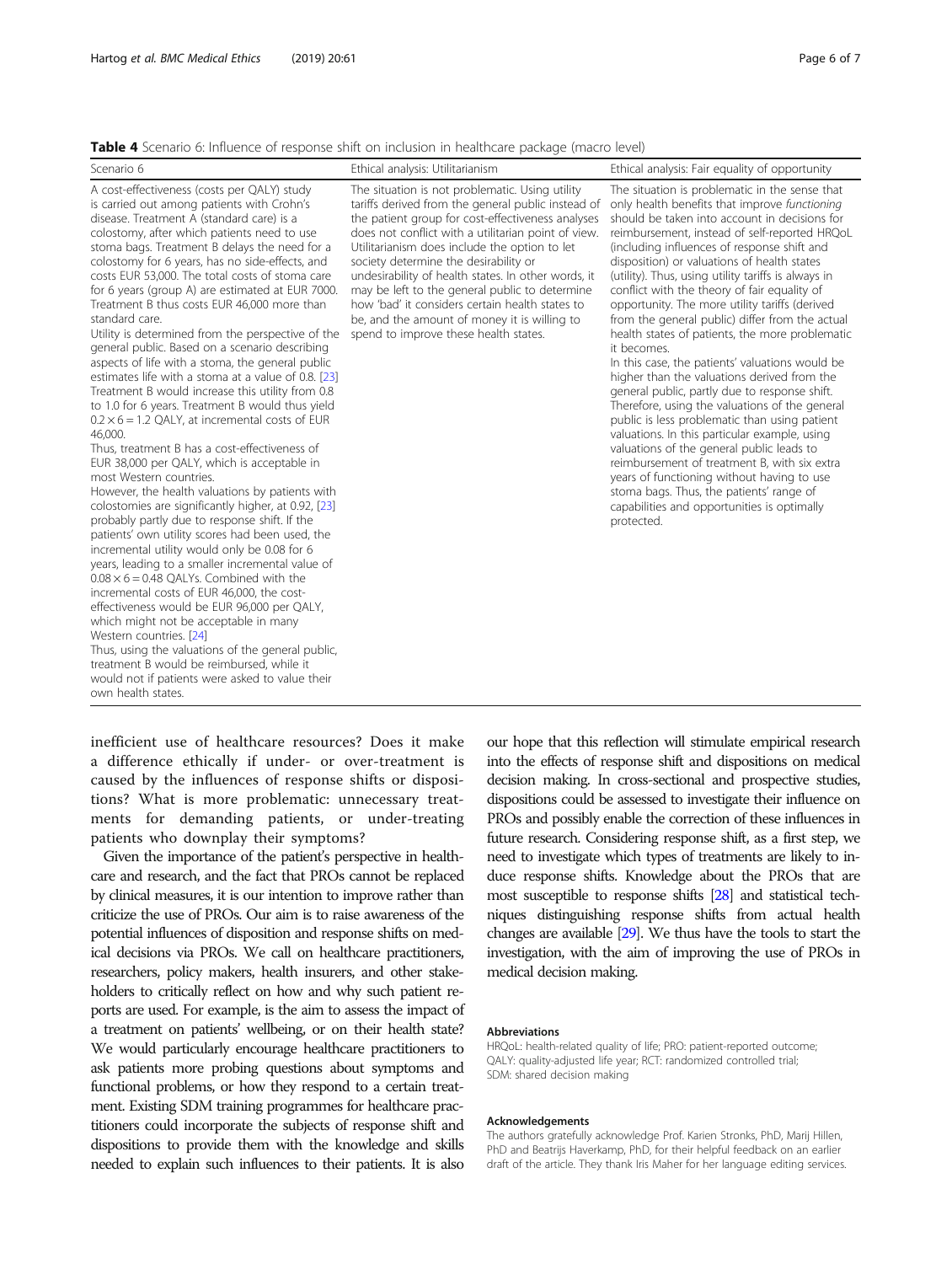<span id="page-5-0"></span>Table 4 Scenario 6: Influence of response shift on inclusion in healthcare package (macro level)

| Scenario 6                                                                                                                                                                                                                                                                                                                                                                                                                                                                                                                                                                                                                                                                                                                                                                                                                                                                                                                                                                                                                                                                                                                                                                                                                                                                                                                                                                                                                                                                                                                                                                                                                                                                                                   | Ethical analysis: Utilitarianism                                                                                                                                                                                                                                                                                                                                                                                                                                                                                                                                 | Ethical analysis: Fair equality of opportunity                                                                                                                                                                                                                                                                                                                                                                                                                                                                                                                                                                                                                                                                                                                                                                                                                                                                                                                                                                                                                                                                                           |
|--------------------------------------------------------------------------------------------------------------------------------------------------------------------------------------------------------------------------------------------------------------------------------------------------------------------------------------------------------------------------------------------------------------------------------------------------------------------------------------------------------------------------------------------------------------------------------------------------------------------------------------------------------------------------------------------------------------------------------------------------------------------------------------------------------------------------------------------------------------------------------------------------------------------------------------------------------------------------------------------------------------------------------------------------------------------------------------------------------------------------------------------------------------------------------------------------------------------------------------------------------------------------------------------------------------------------------------------------------------------------------------------------------------------------------------------------------------------------------------------------------------------------------------------------------------------------------------------------------------------------------------------------------------------------------------------------------------|------------------------------------------------------------------------------------------------------------------------------------------------------------------------------------------------------------------------------------------------------------------------------------------------------------------------------------------------------------------------------------------------------------------------------------------------------------------------------------------------------------------------------------------------------------------|------------------------------------------------------------------------------------------------------------------------------------------------------------------------------------------------------------------------------------------------------------------------------------------------------------------------------------------------------------------------------------------------------------------------------------------------------------------------------------------------------------------------------------------------------------------------------------------------------------------------------------------------------------------------------------------------------------------------------------------------------------------------------------------------------------------------------------------------------------------------------------------------------------------------------------------------------------------------------------------------------------------------------------------------------------------------------------------------------------------------------------------|
| A cost-effectiveness (costs per QALY) study<br>is carried out among patients with Crohn's<br>disease. Treatment A (standard care) is a<br>colostomy, after which patients need to use<br>stoma bags. Treatment B delays the need for a<br>colostomy for 6 years, has no side-effects, and<br>costs EUR 53,000. The total costs of stoma care<br>for 6 years (group A) are estimated at EUR 7000.<br>Treatment B thus costs EUR 46,000 more than<br>standard care.<br>Utility is determined from the perspective of the<br>general public. Based on a scenario describing<br>aspects of life with a stoma, the general public<br>estimates life with a stoma at a value of 0.8. [23]<br>Treatment B would increase this utility from 0.8<br>to 1.0 for 6 years. Treatment B would thus yield<br>$0.2 \times 6 = 1.2$ QALY, at incremental costs of EUR<br>46,000.<br>Thus, treatment B has a cost-effectiveness of<br>EUR 38,000 per QALY, which is acceptable in<br>most Western countries.<br>However, the health valuations by patients with<br>colostomies are significantly higher, at 0.92, [23]<br>probably partly due to response shift. If the<br>patients' own utility scores had been used, the<br>incremental utility would only be 0.08 for 6<br>years, leading to a smaller incremental value of<br>$0.08 \times 6 = 0.48$ QALYs. Combined with the<br>incremental costs of EUR 46,000, the cost-<br>effectiveness would be EUR 96,000 per QALY,<br>which might not be acceptable in many<br>Western countries. [24]<br>Thus, using the valuations of the general public,<br>treatment B would be reimbursed, while it<br>would not if patients were asked to value their<br>own health states. | The situation is not problematic. Using utility<br>tariffs derived from the general public instead of<br>the patient group for cost-effectiveness analyses<br>does not conflict with a utilitarian point of view.<br>Utilitarianism does include the option to let<br>society determine the desirability or<br>undesirability of health states. In other words, it<br>may be left to the general public to determine<br>how 'bad' it considers certain health states to<br>be, and the amount of money it is willing to<br>spend to improve these health states. | The situation is problematic in the sense that<br>only health benefits that improve functioning<br>should be taken into account in decisions for<br>reimbursement, instead of self-reported HRQoL<br>(including influences of response shift and<br>disposition) or valuations of health states<br>(utility). Thus, using utility tariffs is always in<br>conflict with the theory of fair equality of<br>opportunity. The more utility tariffs (derived<br>from the general public) differ from the actual<br>health states of patients, the more problematic<br>it becomes.<br>In this case, the patients' valuations would be<br>higher than the valuations derived from the<br>general public, partly due to response shift.<br>Therefore, using the valuations of the general<br>public is less problematic than using patient<br>valuations. In this particular example, using<br>valuations of the general public leads to<br>reimbursement of treatment B, with six extra<br>years of functioning without having to use<br>stoma bags. Thus, the patients' range of<br>capabilities and opportunities is optimally<br>protected. |

inefficient use of healthcare resources? Does it make a difference ethically if under- or over-treatment is caused by the influences of response shifts or dispositions? What is more problematic: unnecessary treatments for demanding patients, or under-treating patients who downplay their symptoms?

Given the importance of the patient's perspective in healthcare and research, and the fact that PROs cannot be replaced by clinical measures, it is our intention to improve rather than criticize the use of PROs. Our aim is to raise awareness of the potential influences of disposition and response shifts on medical decisions via PROs. We call on healthcare practitioners, researchers, policy makers, health insurers, and other stakeholders to critically reflect on how and why such patient reports are used. For example, is the aim to assess the impact of a treatment on patients' wellbeing, or on their health state? We would particularly encourage healthcare practitioners to ask patients more probing questions about symptoms and functional problems, or how they respond to a certain treatment. Existing SDM training programmes for healthcare practitioners could incorporate the subjects of response shift and dispositions to provide them with the knowledge and skills needed to explain such influences to their patients. It is also

our hope that this reflection will stimulate empirical research into the effects of response shift and dispositions on medical decision making. In cross-sectional and prospective studies, dispositions could be assessed to investigate their influence on PROs and possibly enable the correction of these influences in future research. Considering response shift, as a first step, we need to investigate which types of treatments are likely to induce response shifts. Knowledge about the PROs that are most susceptible to response shifts [\[28](#page-6-0)] and statistical techniques distinguishing response shifts from actual health changes are available [\[29\]](#page-6-0). We thus have the tools to start the investigation, with the aim of improving the use of PROs in medical decision making.

# Abbreviations

HRQoL: health-related quality of life; PRO: patient-reported outcome; QALY: quality-adjusted life year; RCT: randomized controlled trial; SDM: shared decision making

# Acknowledgements

The authors gratefully acknowledge Prof. Karien Stronks, PhD, Marij Hillen, PhD and Beatrijs Haverkamp, PhD, for their helpful feedback on an earlier draft of the article. They thank Iris Maher for her language editing services.